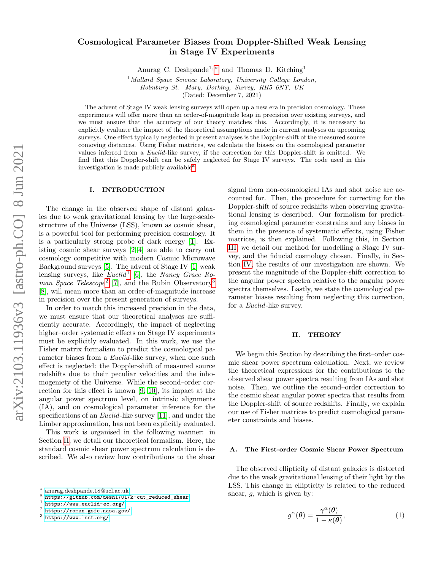# Cosmological Parameter Biases from Doppler-Shifted Weak Lensing in Stage IV Experiments

Anurag C. Deshpande<sup>1, [∗](#page-0-0)</sup> and Thomas D. Kitching<sup>1</sup>

 $1$ Mullard Space Science Laboratory, University College London, Holmbury St. Mary, Dorking, Surrey, RH5 6NT, UK

(Dated: December 7, 2021)

The advent of Stage IV weak lensing surveys will open up a new era in precision cosmology. These experiments will offer more than an order-of-magnitude leap in precision over existing surveys, and we must ensure that the accuracy of our theory matches this. Accordingly, it is necessary to explicitly evaluate the impact of the theoretical assumptions made in current analyses on upcoming surveys. One effect typically neglected in present analyses is the Doppler-shift of the measured source comoving distances. Using Fisher matrices, we calculate the biases on the cosmological parameter values inferred from a Euclid-like survey, if the correction for this Doppler-shift is omitted. We find that this Doppler-shift can be safely neglected for Stage IV surveys. The code used in this investigation is made publicly available<sup>a</sup>.

#### I. INTRODUCTION

The change in the observed shape of distant galaxies due to weak gravitational lensing by the large-scalestructure of the Universe (LSS), known as cosmic shear, is a powerful tool for performing precision cosmology. It is a particularly strong probe of dark energy [\[1\]](#page-6-0). Existing cosmic shear surveys [\[2](#page-6-1)[–4\]](#page-7-0) are able to carry out cosmology competitive with modern Cosmic Microwave Background surveys [\[5\]](#page-7-1). The advent of Stage IV [\[1\]](#page-6-0) weak lensing surveys, like  $Euclid<sup>1</sup>$  $Euclid<sup>1</sup>$  $Euclid<sup>1</sup>$  [\[6\]](#page-7-2), the Nancy Grace Ro-man Space Telescope<sup>[2](#page-0-2)</sup> [\[7\]](#page-7-3), and the Rubin Observatory<sup>[3](#page-0-3)</sup> [\[8\]](#page-7-4), will mean more than an order-of-magnitude increase in precision over the present generation of surveys.

In order to match this increased precision in the data, we must ensure that our theoretical analyses are sufficiently accurate. Accordingly, the impact of neglecting higher–order systematic effects on Stage IV experiments must be explicitly evaluated. In this work, we use the Fisher matrix formalism to predict the cosmological parameter biases from a *Euclid*-like survey, when one such effect is neglected: the Doppler-shift of measured source redshifts due to their peculiar velocities and the inhomogeniety of the Universe. While the second–order correction for this effect is known [\[9,](#page-7-5) [10\]](#page-7-6), its impact at the angular power spectrum level, on intrinsic alignments (IA), and on cosmological parameter inference for the specifications of an *Euclid*-like survey [\[11\]](#page-7-7), and under the Limber approximation, has not been explicitly evaluated.

This work is organised in the following manner: in Section [II,](#page-0-4) we detail our theoretical formalism. Here, the standard cosmic shear power spectrum calculation is described. We also review how contributions to the shear

signal from non-cosmological IAs and shot noise are accounted for. Then, the procedure for correcting for the Doppler-shift of source redshifts when observing gravitational lensing is described. Our formalism for predicting cosmological parameter constrains and any biases in them in the presence of systematic effects, using Fisher matrices, is then explained. Following this, in Section [III,](#page-3-0) we detail our method for modelling a Stage IV survey, and the fiducial cosmology chosen. Finally, in Section [IV,](#page-4-0) the results of our investigation are shown. We present the magnitude of the Doppler-shift correction to the angular power spectra relative to the angular power spectra themselves. Lastly, we state the cosmological parameter biases resulting from neglecting this correction, for a Euclid-like survey.

#### <span id="page-0-4"></span>II. THEORY

We begin this Section by describing the first–order cosmic shear power spectrum calculation. Next, we review the theoretical expressions for the contributions to the observed shear power spectra resulting from IAs and shot noise. Then, we outline the second–order correction to the cosmic shear angular power spectra that results from the Doppler-shift of source redshifts. Finally, we explain our use of Fisher matrices to predict cosmological parameter constraints and biases.

## A. The First-order Cosmic Shear Power Spectrum

The observed ellipticity of distant galaxies is distorted due to the weak gravitational lensing of their light by the LSS. This change in ellipticity is related to the reduced shear, g, which is given by:

$$
g^{\alpha}(\boldsymbol{\theta}) = \frac{\gamma^{\alpha}(\boldsymbol{\theta})}{1 - \kappa(\boldsymbol{\theta})},
$$
 (1)

<span id="page-0-0"></span><sup>∗</sup> [anurag.deshpande.18@ucl.ac.uk](mailto:anurag.deshpande.18@ucl.ac.uk)

<sup>a</sup> [https://github.com/desh1701/k-cut\\_reduced\\_shear](https://github.com/desh1701/k-cut_reduced_shear)

<span id="page-0-1"></span><sup>1</sup> <https://www.euclid-ec.org/>

<span id="page-0-2"></span><sup>2</sup> <https://roman.gsfc.nasa.gov/>

<span id="page-0-3"></span> $3$  <https://www.lsst.org/>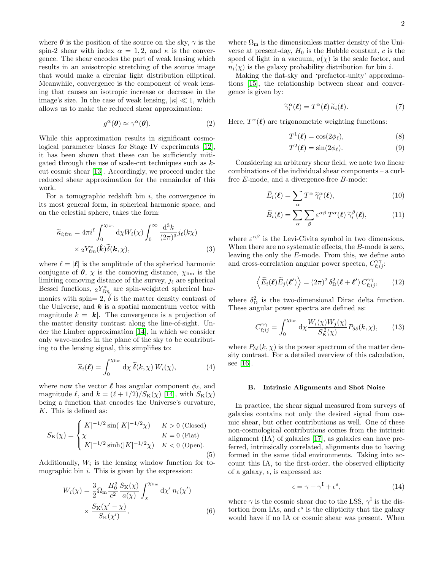where  $\theta$  is the position of the source on the sky,  $\gamma$  is the spin-2 shear with index  $\alpha = 1, 2$ , and  $\kappa$  is the convergence. The shear encodes the part of weak lensing which results in an anisotropic stretching of the source image that would make a circular light distribution elliptical. Meanwhile, convergence is the component of weak lensing that causes an isotropic increase or decrease in the image's size. In the case of weak lensing,  $|\kappa| \ll 1$ , which allows us to make the reduced shear approximation:

$$
g^{\alpha}(\boldsymbol{\theta}) \approx \gamma^{\alpha}(\boldsymbol{\theta}). \tag{2}
$$

While this approximation results in significant cosmological parameter biases for Stage IV experiments [\[12\]](#page-7-8), it has been shown that these can be sufficiently mitigated through the use of scale-cut techniques such as  $k$ cut cosmic shear [\[13\]](#page-7-9). Accordingly, we proceed under the reduced shear approximation for the remainder of this work.

For a tomographic redshift bin  $i$ , the convergence in its most general form, in spherical harmonic space, and on the celestial sphere, takes the form:

$$
\widetilde{\kappa}_{i,\ell m} = 4\pi i^{\ell} \int_0^{\chi_{\text{lim}}} \mathrm{d}\chi W_i(\chi) \int_0^{\infty} \frac{\mathrm{d}^3 k}{(2\pi)^3} j_{\ell}(k\chi)
$$
  
  $\times 2Y_{\ell m}^*(\hat{\boldsymbol{k}}) \widetilde{\delta}(\boldsymbol{k},\chi),$  (3)

where  $\ell = |\ell|$  is the amplitude of the spherical harmonic conjugate of  $\theta$ ,  $\chi$  is the comoving distance,  $\chi$ <sub>lim</sub> is the limiting comoving distance of the survey,  $j_{\ell}$  are spherical Bessel functions,  $_2Y^*_{\ell m}$  are spin-weighted spherical harmonics with spin= 2,  $\delta$  is the matter density contrast of the Universe, and  $k$  is a spatial momentum vector with magnitude  $k = |\mathbf{k}|$ . The convergence is a projection of the matter density contrast along the line-of-sight. Under the Limber approximation [\[14\]](#page-7-10), in which we consider only wave-modes in the plane of the sky to be contributing to the lensing signal, this simplifies to:

$$
\widetilde{\kappa}_i(\boldsymbol{\ell}) = \int_0^{\chi_{\text{lim}}} \mathrm{d}\chi \, \widetilde{\delta}(k,\chi) \, W_i(\chi), \tag{4}
$$

where now the vector  $\ell$  has angular component  $\phi_{\ell}$ , and magnitude  $\ell$ , and  $k = (\ell + 1/2)/S_K(\chi)$  [\[14\]](#page-7-10), with  $S_K(\chi)$ being a function that encodes the Universe's curvature, K. This is defined as:

$$
S_{\mathcal{K}}(\chi) = \begin{cases} |K|^{-1/2} \sin(|K|^{-1/2}\chi) & K > 0 \text{ (Closed)}\\ \chi & K = 0 \text{ (Flat)}\\ |K|^{-1/2} \sinh(|K|^{-1/2}\chi) & K < 0 \text{ (Open)}. \end{cases}
$$
(5)

Additionally,  $W_i$  is the lensing window function for tomographic bin  $i$ . This is given by the expression:

$$
W_i(\chi) = \frac{3}{2} \Omega_{\rm m} \frac{H_0^2}{c^2} \frac{S_{\rm K}(\chi)}{a(\chi)} \int_{\chi}^{\chi_{\rm lim}} d\chi' n_i(\chi')
$$
  
 
$$
\times \frac{S_{\rm K}(\chi' - \chi)}{S_{\rm K}(\chi')}, \tag{6}
$$

where  $\Omega_{\rm m}$  is the dimensionless matter density of the Universe at present-day,  $H_0$  is the Hubble constant, c is the speed of light in a vacuum,  $a(\chi)$  is the scale factor, and  $n_i(\chi)$  is the galaxy probability distribution for bin i.

Making the flat-sky and 'prefactor-unity' approximations [\[15\]](#page-7-11), the relationship between shear and convergence is given by:

$$
\widetilde{\gamma}_i^{\alpha}(\boldsymbol{\ell}) = T^{\alpha}(\boldsymbol{\ell}) \widetilde{\kappa}_i(\boldsymbol{\ell}). \tag{7}
$$

Here,  $T^{\alpha}(\ell)$  are trigonometric weighting functions:

$$
T^1(\ell) = \cos(2\phi_\ell),\tag{8}
$$

$$
T^2(\ell) = \sin(2\phi_\ell). \tag{9}
$$

Considering an arbitrary shear field, we note two linear combinations of the individual shear components – a curlfree E-mode, and a divergence-free B-mode:

$$
\widetilde{E}_i(\boldsymbol{\ell}) = \sum_{\alpha} T^{\alpha} \widetilde{\gamma}_i^{\alpha}(\boldsymbol{\ell}), \qquad (10)
$$

$$
\widetilde{B}_i(\boldsymbol{\ell}) = \sum_{\alpha} \sum_{\beta} \varepsilon^{\alpha \beta} T^{\alpha}(\boldsymbol{\ell}) \, \widetilde{\gamma}_i^{\beta}(\boldsymbol{\ell}), \tag{11}
$$

where  $\varepsilon^{\alpha\beta}$  is the Levi-Civita symbol in two dimensions. When there are no systematic effects, the B-mode is zero, leaving the only the E-mode. From this, we define auto and cross-correlation angular power spectra,  $C_{\ell;ij}^{\gamma\gamma}$ :

$$
\langle \widetilde{E}_i(\boldsymbol{\ell}) \widetilde{E}_j(\boldsymbol{\ell'}) \rangle = (2\pi)^2 \, \delta_{\mathrm{D}}^2(\boldsymbol{\ell} + \boldsymbol{\ell'}) \, C_{\ell;ij}^{\gamma\gamma}, \qquad (12)
$$

where  $\delta_{\rm D}^2$  is the two-dimensional Dirac delta function. These angular power spectra are defined as:

<span id="page-1-0"></span>
$$
C_{\ell;ij}^{\gamma\gamma} = \int_0^{\chi_{\text{lim}}} \mathrm{d}\chi \frac{W_i(\chi)W_j(\chi)}{S_{\text{K}}^2(\chi)} P_{\delta\delta}(k,\chi),\qquad(13)
$$

where  $P_{\delta\delta}(k,\chi)$  is the power spectrum of the matter density contrast. For a detailed overview of this calculation, see [\[16\]](#page-7-12).

#### B. Intrinsic Alignments and Shot Noise

In practice, the shear signal measured from surveys of galaxies contains not only the desired signal from cosmic shear, but other contributions as well. One of these non-cosmological contributions comes from the intrinsic alignment (IA) of galaxies [\[17\]](#page-7-13), as galaxies can have preferred, intrinsically correlated, alignments due to having formed in the same tidal environments. Taking into account this IA, to the first-order, the observed ellipticity of a galaxy,  $\epsilon$ , is expressed as:

$$
\epsilon = \gamma + \gamma^{\mathrm{I}} + \epsilon^s,\tag{14}
$$

<span id="page-1-1"></span>where  $\gamma$  is the cosmic shear due to the LSS,  $\gamma^{\text{I}}$  is the distortion from IAs, and  $\epsilon^s$  is the ellipticity that the galaxy would have if no IA or cosmic shear was present. When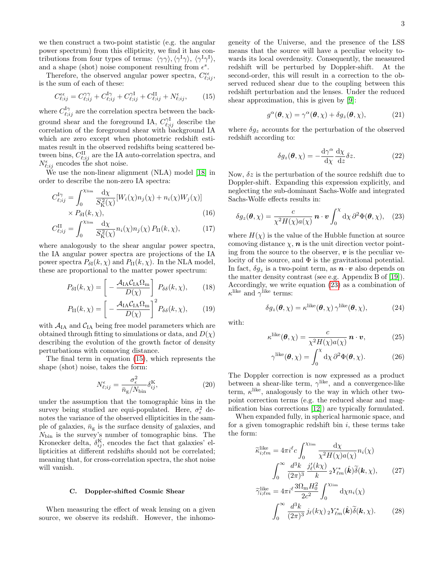we then construct a two-point statistic (e.g. the angular power spectrum) from this ellipticity, we find it has contributions from four types of terms:  $\langle \gamma \gamma \rangle$ ,  $\langle \gamma^I \gamma \rangle$ ,  $\langle \gamma^I \gamma^I \rangle$ , and a shape (shot) noise component resulting from  $\epsilon^s$ .

Therefore, the observed angular power spectra,  $C_{\ell;ij}^{\epsilon\epsilon}$ , is the sum of each of these:

<span id="page-2-0"></span>
$$
C_{\ell;ij}^{\epsilon\epsilon} = C_{\ell;ij}^{\gamma\gamma} + C_{\ell;ij}^{I\gamma} + C_{\ell;ij}^{\gamma I} + C_{\ell;ij}^{II} + N_{\ell;ij}^{\epsilon},\qquad(15)
$$

where  $C_{\ell;ij}^{\dagger\gamma}$  are the correlation spectra between the background shear and the foreground IA,  $C_{\ell ij}^{\gamma I}$  describe the correlation of the foreground shear with background IA which are zero except when photometric redshift estimates result in the observed redshifts being scattered between bins,  $C_{\ell;ij}^{\text{II}}$  are the IA auto-correlation spectra, and  $N_{\ell;ij}^{\epsilon}$  encodes the shot noise.

We use the non-linear alignment (NLA) model [\[18\]](#page-7-14) in order to describe the non-zero IA spectra:

$$
C_{\ell;ij}^{\mathrm{I}\gamma} = \int_0^{\chi_{\mathrm{lim}}} \frac{\mathrm{d}\chi}{S_{\mathrm{K}}^2(\chi)} [W_i(\chi)n_j(\chi) + n_i(\chi)W_j(\chi)] \times P_{\delta I}(k,\chi), \tag{16}
$$

$$
C_{\ell;ij}^{\rm II} = \int_0^{\chi_{\rm lim}} \frac{\mathrm{d}\chi}{S_{\rm K}^2(\chi)} n_i(\chi) n_j(\chi) P_{\rm II}(k,\chi),\tag{17}
$$

where analogously to the shear angular power spectra, the IA angular power spectra are projections of the IA power spectra  $P_{\delta I}(k, \chi)$  and  $P_{II}(k, \chi)$ . In the NLA model, these are proportional to the matter power spectrum:

$$
P_{\delta I}(k,\chi) = \left[ -\frac{\mathcal{A}_{\rm IA} \mathcal{C}_{\rm IA} \Omega_{\rm m}}{D(\chi)} \right] P_{\delta \delta}(k,\chi), \qquad (18)
$$

$$
P_{\rm II}(k,\chi) = \left[ -\frac{\mathcal{A}_{\rm IA} \mathcal{C}_{\rm IA} \Omega_{\rm m}}{D(\chi)} \right]^2 P_{\delta \delta}(k,\chi),\qquad(19)
$$

with  $A_{IA}$  and  $C_{IA}$  being free model parameters which are obtained through fitting to simulations or data, and  $D(\chi)$ describing the evolution of the growth factor of density perturbations with comoving distance.

The final term in equation [\(15\)](#page-2-0), which represents the shape (shot) noise, takes the form:

$$
N_{\ell;ij}^{\epsilon} = \frac{\sigma_{\epsilon}^2}{\bar{n}_{\rm g}/N_{\rm bin}} \delta_{ij}^{\rm K},\tag{20}
$$

under the assumption that the tomographic bins in the survey being studied are equi-populated. Here,  $\sigma_{\epsilon}^2$  denotes the variance of the observed ellipticities in the sample of galaxies,  $\bar{n}_{\rm g}$  is the surface density of galaxies, and  $N_{\text{bin}}$  is the survey's number of tomographic bins. The Kronecker delta,  $\delta_{ij}^{\text{K}}$ , encodes the fact that galaxies' ellipticities at different redshifts should not be correlated; meaning that, for cross-correlation spectra, the shot noise will vanish.

#### C. Doppler-shifted Cosmic Shear

When measuring the effect of weak lensing on a given source, we observe its redshift. However, the inhomogeneity of the Universe, and the presence of the LSS means that the source will have a peculiar velocity towards its local overdensity. Consequently, the measured redshift will be perturbed by Doppler-shift. At the second-order, this will result in a correction to the observed reduced shear due to the coupling between this redshift perturbation and the lenses. Under the reduced shear approximation, this is given by [\[9\]](#page-7-5):

$$
g^{\alpha}(\boldsymbol{\theta}, \chi) = \gamma^{\alpha}(\boldsymbol{\theta}, \chi) + \delta g_z(\boldsymbol{\theta}, \chi), \qquad (21)
$$

where  $\delta g_z$  accounts for the perturbation of the observed redshift according to:

$$
\delta g_z(\theta, \chi) = -\frac{\mathrm{d}\gamma^{\alpha}}{\mathrm{d}\chi} \frac{\mathrm{d}\chi}{\mathrm{d}z} \delta z. \tag{22}
$$

Now,  $\delta z$  is the perturbation of the source redshift due to Doppler-shift. Expanding this expression explicitly, and neglecting the sub-dominant Sachs-Wolfe and integrated Sachs-Wolfe effects results in:

<span id="page-2-1"></span>
$$
\delta g_z(\boldsymbol{\theta}, \chi) = \frac{c}{\chi^2 H(\chi) a(\chi)} \, \boldsymbol{n} \cdot \boldsymbol{v} \int_0^\chi \mathrm{d}\chi \, \partial^2 \Phi(\boldsymbol{\theta}, \chi), \quad (23)
$$

where  $H(\chi)$  is the value of the Hubble function at source comoving distance  $\chi$ ,  $\boldsymbol{n}$  is the unit direction vector pointing from the source to the observer,  $\boldsymbol{v}$  is the peculiar velocity of the source, and  $\Phi$  is the gravitational potential. In fact,  $\delta g_z$  is a two-point term, as  $\boldsymbol{n} \cdot \boldsymbol{v}$  also depends on the matter density contrast (see e.g. Appendix B of [\[19\]](#page-7-15)). Accordingly, we write equation [\(23\)](#page-2-1) as a combination of  $\kappa^{\rm like}$  and  $\gamma^{\rm like}$  terms:

$$
\delta g_z(\boldsymbol{\theta}, \chi) = \kappa^{\text{like}}(\boldsymbol{\theta}, \chi) \,\gamma^{\text{like}}(\boldsymbol{\theta}, \chi), \tag{24}
$$

with:

κ

$$
c^{\text{like}}(\boldsymbol{\theta}, \chi) = \frac{c}{\chi^2 H(\chi) a(\chi)} \, \boldsymbol{n} \cdot \boldsymbol{v},\tag{25}
$$

$$
\gamma^{\text{like}}(\boldsymbol{\theta}, \chi) = \int_0^\chi \mathrm{d}\chi \, \partial^2 \Phi(\boldsymbol{\theta}, \chi). \tag{26}
$$

The Doppler correction is now expressed as a product between a shear-like term,  $\gamma^{\text{like}}$ , and a convergence-like term,  $\kappa^{\text{like}}$ , analogously to the way in which other twopoint correction terms (e.g. the reduced shear and magnification bias corrections [\[12\]](#page-7-8)) are typically formulated.

When expanded fully, in spherical harmonic space, and for a given tomographic redshift bin  $i$ , these terms take the form:

$$
\widetilde{\kappa}_{i;\ell m}^{\text{like}} = 4\pi i^{\ell} c \int_0^{\chi_{\text{lim}}} \frac{\mathrm{d}\chi}{\chi^2 H(\chi) a(\chi)} n_i(\chi)
$$

$$
\int_0^\infty \frac{d^3 k}{(2\pi)^3} \frac{j'_{\ell}(k\chi)}{k} \, _2Y^*_{\ell m}(\hat{\mathbf{k}}) \widetilde{\delta}(\mathbf{k}, \chi), \qquad (27)
$$

<span id="page-2-3"></span><span id="page-2-2"></span>
$$
\widetilde{\gamma}_{i,\ell m}^{\text{like}} = 4\pi i^{\ell} \frac{3\Omega_{\text{m}} H_0^2}{2c^2} \int_0^{\chi_{\text{lim}}} \mathrm{d}\chi n_i(\chi)
$$

$$
\int_0^{\infty} \frac{d^3k}{(2\pi)^3} j_{\ell}(k\chi) \, _2Y_{\ell m}^*(\hat{k}) \widetilde{\delta}(\mathbf{k}, \chi). \tag{28}
$$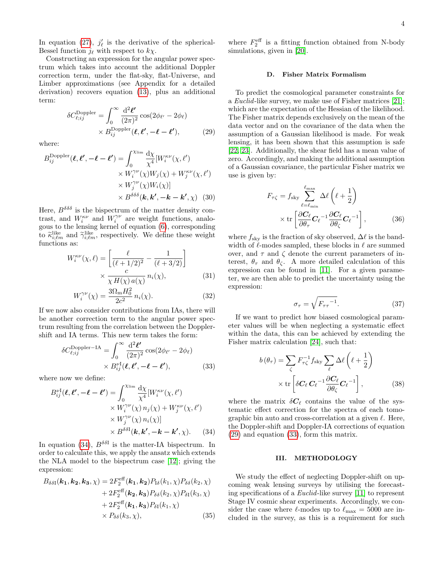In equation [\(27\)](#page-2-2),  $j'_{\ell}$  is the derivative of the spherical-Bessel function  $j_\ell$  with respect to  $k\chi$ .

Constructing an expression for the angular power spectrum which takes into account the additional Doppler correction term, under the flat-sky, flat-Universe, and Limber approximations (see Appendix for a detailed derivation) recovers equation [\(13\)](#page-1-0), plus an additional term:

$$
\delta C_{\ell;ij}^{\text{Doppler}} = \int_0^\infty \frac{\mathrm{d}^2 \ell'}{(2\pi)^2} \cos(2\phi_{\ell'} - 2\phi_\ell)
$$

$$
\times B_{ij}^{\text{Doppler}}(\ell, \ell', -\ell - \ell'), \tag{29}
$$

where:

$$
B_{ij}^{\text{Doppler}}(\ell, \ell', -\ell - \ell') = \int_0^{\chi_{\text{lim}}} \frac{d\chi}{\chi^4} [W_i^{\kappa\nu}(\chi, \ell')\times W_i^{\gamma\nu}(\chi)W_j(\chi) + W_j^{\kappa\nu}(\chi, \ell')\times W_j^{\gamma\nu}(\chi)W_i(\chi)]\times B^{\delta\delta\delta}(\mathbf{k}, \mathbf{k'}, -\mathbf{k} - \mathbf{k'}, \chi) \tag{30}
$$

Here,  $B^{\delta\delta\delta}$  is the bispectrum of the matter density contrast, and  $W_i^{\kappa\nu}$  and  $W_i^{\gamma\nu}$  are weight functions, analogous to the lensing kernel of equation [\(6\)](#page-1-1), corresponding to  $\tilde{\kappa}_{i;\ell m}^{\text{like}}$  and  $\tilde{\gamma}_{i;\ell m}^{\text{like}}$ , respectively. We define these weight functions as: functions as:

$$
W_i^{\kappa\nu}(\chi,\ell) = \left[\frac{\ell}{(\ell+1/2)^2} - \frac{1}{(\ell+3/2)}\right] \times \frac{c}{\chi H(\chi) a(\chi)} n_i(\chi), \tag{31}
$$

$$
W_i^{\gamma \nu}(\chi) = \frac{3\Omega_{\rm m} H_0^2}{2c^2} n_i(\chi). \tag{32}
$$

If we now also consider contributions from IAs, there will be another correction term to the angular power spectrum resulting from the correlation between the Dopplershift and IA terms. This new term takes the form:

$$
\delta C_{\ell;ij}^{\text{Doppler}-\text{IA}} = \int_0^\infty \frac{\mathrm{d}^2 \ell'}{(2\pi)^2} \cos(2\phi_{\ell'} - 2\phi_\ell)
$$

$$
\times B_{ij}^{\nu\text{I}}(\ell, \ell', -\ell - \ell'), \tag{33}
$$

where now we define:

$$
B_{ij}^{\nu I}(\ell, \ell', -\ell - \ell') = \int_0^{\chi_{\text{lim}}} \frac{d\chi}{\chi^4} [W_i^{\kappa \nu}(\chi, \ell')\times W_i^{\gamma \nu}(\chi) n_j(\chi) + W_j^{\kappa \nu}(\chi, \ell')\times W_j^{\gamma \nu}(\chi) n_i(\chi)]\times B^{\delta \delta I}(\mathbf{k}, \mathbf{k'}, -\mathbf{k} - \mathbf{k'}, \chi). \tag{34}
$$

In equation [\(34\)](#page-3-1),  $B^{\delta\delta I}$  is the matter-IA bispectrum. In order to calculate this, we apply the ansatz which extends the NLA model to the bispectrum case [\[12\]](#page-7-8); giving the expression:

$$
B_{\delta\delta I}(\boldsymbol{k_1}, \boldsymbol{k_2}, \boldsymbol{k_3}, \chi) = 2F_2^{\text{eff}}(\boldsymbol{k_1}, \boldsymbol{k_2}) P_{1\delta}(k_1, \chi) P_{\delta\delta}(k_2, \chi) + 2F_2^{\text{eff}}(\boldsymbol{k_2}, \boldsymbol{k_3}) P_{\delta\delta}(k_2, \chi) P_{\delta I}(k_3, \chi) + 2F_2^{\text{eff}}(\boldsymbol{k_1}, \boldsymbol{k_3}) P_{\delta I}(k_1, \chi) \times P_{\delta\delta}(k_3, \chi),
$$
(35)

where  $F_2^{\text{eff}}$  is a fitting function obtained from N-body simulations, given in [\[20\]](#page-7-16).

### <span id="page-3-5"></span>D. Fisher Matrix Formalism

<span id="page-3-2"></span>To predict the cosmological parameter constraints for a Euclid-like survey, we make use of Fisher matrices [\[21\]](#page-7-17); which are the expectation of the Hessian of the likelihood. The Fisher matrix depends exclusively on the mean of the data vector and on the covariance of the data when the assumption of a Gaussian likelihood is made. For weak lensing, it has been shown that this assumption is safe [\[22,](#page-7-18) [23\]](#page-7-19). Additionally, the shear field has a mean value of zero. Accordingly, and making the additional assumption of a Gaussian covariance, the particular Fisher matrix we use is given by:

$$
F_{\tau\zeta} = f_{\rm sky} \sum_{\ell = \ell_{\rm min}}^{\ell_{\rm max}} \Delta \ell \left(\ell + \frac{1}{2}\right)
$$
  
 
$$
\times \text{tr}\left[\frac{\partial C_{\ell}}{\partial \theta_{\tau}} C_{\ell}^{-1} \frac{\partial C_{\ell}}{\partial \theta_{\zeta}} C_{\ell}^{-1}\right], \tag{36}
$$

<span id="page-3-6"></span><span id="page-3-4"></span>where  $f_{\text{sky}}$  is the fraction of sky observed,  $\Delta\ell$  is the bandwidth of  $\ell$ -modes sampled, these blocks in  $\ell$  are summed over, and  $\tau$  and  $\zeta$  denote the current parameters of interest,  $\theta_{\tau}$  and  $\theta_{\zeta}$ . A more detailed calculation of this expression can be found in [\[11\]](#page-7-7). For a given parameter, we are then able to predict the uncertainty using the expression:

$$
\sigma_{\tau} = \sqrt{F_{\tau\tau}^{-1}}.\tag{37}
$$

If we want to predict how biased cosmological parameter values will be when neglecting a systematic effect within the data, this can be achieved by extending the Fisher matrix calculation [\[24\]](#page-7-20), such that:

$$
b(\theta_{\tau}) = \sum_{\zeta} F_{\tau\zeta}^{-1} f_{\text{sky}} \sum_{\ell} \Delta \ell \left( \ell + \frac{1}{2} \right)
$$

$$
\times \text{tr} \left[ \delta C_{\ell} C_{\ell}^{-1} \frac{\partial C_{\ell}}{\partial \theta_{\zeta}} C_{\ell}^{-1} \right], \tag{38}
$$

<span id="page-3-3"></span><span id="page-3-1"></span>where the matrix  $\delta C_{\ell}$  contains the value of the systematic effect correction for the spectra of each tomographic bin auto and cross-correlation at a given  $\ell$ . Here, the Doppler-shift and Doppler-IA corrections of equation [\(29\)](#page-3-2) and equation [\(33\)](#page-3-3), form this matrix.

#### <span id="page-3-0"></span>III. METHODOLOGY

We study the effect of neglecting Doppler-shift on upcoming weak lensing surveys by utilising the forecasting specifications of a Euclid-like survey [\[11\]](#page-7-7) to represent Stage IV cosmic shear experiments. Accordingly, we consider the case where  $\ell$ -modes up to  $\ell_{\text{max}} = 5000$  are included in the survey, as this is a requirement for such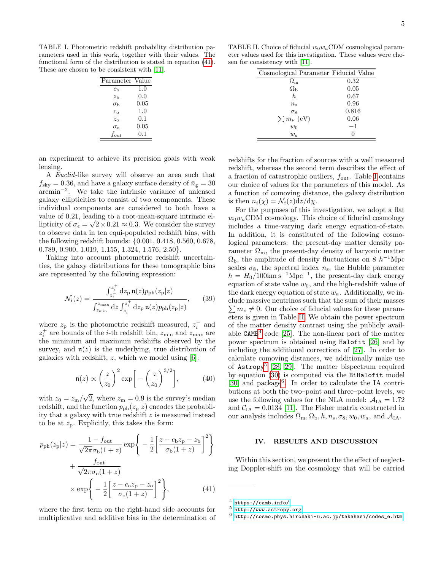<span id="page-4-2"></span>TABLE I. Photometric redshift probability distribution parameters used in this work, together with their values. The functional form of the distribution is stated in equation [\(41\)](#page-4-1). These are chosen to be consistent with [\[11\]](#page-7-7).

| Parameter Value   |      |
|-------------------|------|
| $c_{\rm b}$       | 1.0  |
| $z_{\rm h}$       | 0.0  |
| $\sigma_{\rm h}$  | 0.05 |
| $c_{\rm o}$       | 1.0  |
| $z_{\alpha}$      | 0.1  |
| $\sigma_{\alpha}$ | 0.05 |
| $f_{\rm out}$     | 0.1  |
|                   |      |

an experiment to achieve its precision goals with weak lensing.

A Euclid-like survey will observe an area such that  $f_{\rm sky} = 0.36$ , and have a galaxy surface density of  $\bar{n}_{\rm g} = 30$ arcmin−<sup>2</sup> . We take the intrinsic variance of unlensed galaxy ellipticities to consist of two components. These individual components are considered to both have a value of 0.21, leading to a root-mean-square intrinsic ellipticity of  $\sigma_{\epsilon} = \sqrt{2} \times 0.21 \approx 0.3$ . We consider the survey to observe data in ten equi-populated redshift bins, with the following redshift bounds: {0.001, 0.418, 0.560, 0.678, 0.789, 0.900, 1.019, 1.155, 1.324, 1.576, 2.50}.

Taking into account photometric redshift uncertainties, the galaxy distributions for these tomographic bins are represented by the following expression:

$$
\mathcal{N}_{i}(z) = \frac{\int_{z_{i}^{-}}^{z_{i}^{+}} \mathrm{d}z_{\mathrm{p}} \,\mathfrak{n}(z) p_{\mathrm{ph}}(z_{\mathrm{p}}|z)}{\int_{z_{\mathrm{min}}}^{z_{\mathrm{max}}} \mathrm{d}z \int_{z_{i}^{-}}^{z_{i}^{+}} \mathrm{d}z_{\mathrm{p}} \,\mathfrak{n}(z) p_{\mathrm{ph}}(z_{\mathrm{p}}|z)},\qquad(39)
$$

where  $z_p$  is the photometric redshift measured,  $z_i^-$  and  $z_i^+$  are bounds of the *i*-th redshift bin,  $z_{\text{min}}$  and  $z_{\text{max}}$  are the minimum and maximum redshifts observed by the survey, and  $n(z)$  is the underlying, true distribution of galaxies with redshift,  $z$ , which we model using  $[6]$ :

$$
\mathfrak{n}(z) \propto \left(\frac{z}{z_0}\right)^2 \exp\bigg[-\bigg(\frac{z}{z_0}\bigg)^{3/2}\bigg],\tag{40}
$$

with  $z_0 = z_{\rm m}/\sqrt{2}$ , where  $z_{\rm m} = 0.9$  is the survey's median redshift, and the function  $p_{ph}(z_p|z)$  encodes the probability that a galaxy with true redshift  $z$  is measured instead to be at  $z_p$ . Explicitly, this takes the form:

$$
p_{\rm ph}(z_{\rm p}|z) = \frac{1 - f_{\rm out}}{\sqrt{2\pi}\sigma_{\rm b}(1+z)} \exp\left\{-\frac{1}{2}\left[\frac{z - c_{\rm b}z_{\rm p} - z_{\rm b}}{\sigma_{\rm b}(1+z)}\right]^2\right\}
$$

$$
+ \frac{f_{\rm out}}{\sqrt{2\pi}\sigma_{\rm o}(1+z)} \times \exp\left\{-\frac{1}{2}\left[\frac{z - c_{\rm o}z_{\rm p} - z_{\rm o}}{\sigma_{\rm o}(1+z)}\right]^2\right\},\tag{41}
$$

where the first term on the right-hand side accounts for multiplicative and additive bias in the determination of

<span id="page-4-3"></span>TABLE II. Choice of fiducial  $w_0w_a$ CDM cosmological parameter values used for this investigation. These values were chosen for consistency with [\[11\]](#page-7-7).

| Cosmological Parameter Fiducial Value |       |
|---------------------------------------|-------|
| $\Omega_{\rm m}$                      | 0.32  |
| $\Omega_{\rm b}$                      | 0.05  |
| $\hbar$                               | 0.67  |
| $n_{\rm s}$                           | 0.96  |
| $\sigma_8$                            | 0.816 |
| $\sum m_{\nu}$ (eV)                   | 0.06  |
| $w_0$                                 | $-1$  |
| $w_a$                                 |       |
|                                       |       |

redshifts for the fraction of sources with a well measured redshift, whereas the second term describes the effect of a fraction of catastrophic outliers,  $f_{\text{out}}$ . Table [I](#page-4-2) contains our choice of values for the parameters of this model. As a function of comoving distance, the galaxy distribution is then  $n_i(\chi) = \mathcal{N}_i(z) dz/d\chi$ .

For the purposes of this investigation, we adopt a flat  $w_0w_a$ CDM cosmology. This choice of fiducial cosmology includes a time-varying dark energy equation-of-state. In addition, it is constituted of the following cosmological parameters: the present-day matter density parameter  $\Omega_{\rm m}$ , the present-day density of baryonic matter  $\Omega_{\rm b}$ , the amplitude of density fluctuations on 8  $h^{-1}{\rm Mpc}$ scales  $\sigma_8$ , the spectral index  $n_s$ , the Hubble parameter  $h = H_0/100 \text{km s}^{-1} \text{Mpc}^{-1}$ , the present-day dark energy equation of state value  $w_0$ , and the high-redshift value of the dark energy equation of state  $w_a$ . Additionally, we include massive neutrinos such that the sum of their masses  $\sum m_{\nu} \neq 0$ . Our choice of fiducial values for these parameters is given in Table [II.](#page-4-3) We obtain the power spectrum of the matter density contrast using the publicly available  $CAMB<sup>4</sup> code [25]$  $CAMB<sup>4</sup> code [25]$  $CAMB<sup>4</sup> code [25]$  $CAMB<sup>4</sup> code [25]$ . The non-linear part of the matter power spectrum is obtained using Halofit [\[26\]](#page-7-22) and by including the additional corrections of [\[27\]](#page-7-23). In order to calculate comoving distances, we additionally make use of Astropy<sup>[5](#page-4-5)</sup> [\[28,](#page-7-24) [29\]](#page-7-25). The matter bispectrum required by equation [\(30\)](#page-3-4) is computed via the BiHalofit model [\[30\]](#page-7-26) and package<sup>[6](#page-4-6)</sup>. In order to calculate the IA contributions at both the two–point and three–point levels, we use the following values for the NLA model:  $A_{IA} = 1.72$ and  $C_{IA} = 0.0134$  [\[11\]](#page-7-7). The Fisher matrix constructed in our analysis includes  $\Omega_{\rm m}, \Omega_{\rm b}, h, n_{\rm s}, \sigma_8, w_0, w_a$ , and  $\mathcal{A}_{\rm IA}$ .

## <span id="page-4-0"></span>IV. RESULTS AND DISCUSSION

Within this section, we present the the effect of neglecting Doppler-shift on the cosmology that will be carried

<span id="page-4-4"></span><span id="page-4-1"></span><sup>4</sup> <https://camb.info/>

<span id="page-4-5"></span><sup>5</sup> <http://www.astropy.org>

<span id="page-4-6"></span> $6$  [http://cosmo.phys.hirosaki-u.ac.jp/takahasi/codes\\_e.htm](http://cosmo.phys.hirosaki-u.ac.jp/takahasi/codes_e.htm)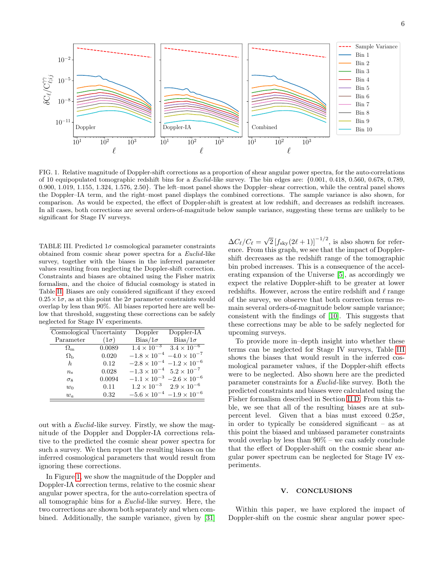

<span id="page-5-0"></span>FIG. 1. Relative magnitude of Doppler-shift corrections as a proportion of shear angular power spectra, for the auto-correlations of 10 equipopulated tomographic redshift bins for a Euclid-like survey. The bin edges are: {0.001, 0.418, 0.560, 0.678, 0.789, 0.900, 1.019, 1.155, 1.324, 1.576, 2.50}. The left–most panel shows the Doppler–shear correction, while the central panel shows the Doppler–IA term, and the right–most panel displays the combined corrections. The sample variance is also shown, for comparison. As would be expected, the effect of Doppler-shift is greatest at low redshift, and decreases as redshift increases. In all cases, both corrections are several orders-of-magnitude below sample variance, suggesting these terms are unlikely to be significant for Stage IV surveys.

<span id="page-5-1"></span>TABLE III. Predicted  $1\sigma$  cosmological parameter constraints obtained from cosmic shear power spectra for a Euclid-like survey, together with the biases in the inferred parameter values resulting from neglecting the Doppler-shift correction. Constraints and biases are obtained using the Fisher matrix formalism, and the choice of fiducial cosmology is stated in Table [II.](#page-4-3) Biases are only considered significant if they exceed  $0.25 \times 1\sigma$ , as at this point the  $2\sigma$  parameter constraints would overlap by less than 90%. All biases reported here are well below that threshold, suggesting these corrections can be safely neglected for Stage IV experiments.

| Cosmological Uncertainty |             | Doppler                                    | $Doppler-IA$                                |
|--------------------------|-------------|--------------------------------------------|---------------------------------------------|
| Parameter                | $(1\sigma)$ | $Bias/1\sigma$                             | $Bias/1\sigma$                              |
| $\Omega_{\rm m}$         | 0.0089      | $1.4 \times 10^{-3}$                       | $3.4 \times 10^{-6}$                        |
| $\Omega_{\rm h}$         | 0.020       | $-1.8 \times 10^{-4}$                      | $-4.0 \times 10^{-7}$                       |
| h                        | 0.12        |                                            | $-2.8 \times 10^{-4}$ $-1.2 \times 10^{-6}$ |
| $n_{\rm s}$              | 0.028       | $-1.3 \times 10^{-4}$ $5.2 \times 10^{-7}$ |                                             |
| $\sigma_8$               | 0.0094      | $-1.1 \times 10^{-3}$                      | $-2.6 \times 10^{-6}$                       |
| $w_0$                    | 0.11        | $1.2 \times 10^{-3}$                       | $2.9 \times 10^{-6}$                        |
| $w_a$                    | 0.32        |                                            | $-5.6 \times 10^{-4}$ $-1.9 \times 10^{-6}$ |

out with a Euclid-like survey. Firstly, we show the magnitude of the Doppler and Doppler-IA corrections relative to the predicted the cosmic shear power spectra for such a survey. We then report the resulting biases on the inferred cosmological parameters that would result from ignoring these corrections.

In Figure [1,](#page-5-0) we show the magnitude of the Doppler and Doppler-IA correction terms, relative to the cosmic shear angular power spectra, for the auto-correlation spectra of all tomographic bins for a Euclid-like survey. Here, the two corrections are shown both separately and when combined. Additionally, the sample variance, given by [\[31\]](#page-7-27)

 $\Delta C_{\ell}/C_{\ell} = \sqrt{2} \left[ f_{\rm sky}(2\ell + 1) \right]^{-1/2}$ , is also shown for reference. From this graph, we see that the impact of Dopplershift decreases as the redshift range of the tomographic bin probed increases. This is a consequence of the accelerating expansion of the Universe [\[5\]](#page-7-1), as accordingly we expect the relative Doppler-shift to be greater at lower redshifts. However, across the entire redshift and  $\ell$  range of the survey, we observe that both correction terms remain several orders-of-magnitude below sample variance; consistent with the findings of [\[10\]](#page-7-6). This suggests that these corrections may be able to be safely neglected for upcoming surveys.

To provide more in–depth insight into whether these terms can be neglected for Stage IV surveys, Table [III](#page-5-1) shows the biases that would result in the inferred cosmological parameter values, if the Doppler-shift effects were to be neglected. Also shown here are the predicted parameter constraints for a Euclid-like survey. Both the predicted constraints and biases were calculated using the Fisher formalism described in Section [II D.](#page-3-5) From this table, we see that all of the resulting biases are at subpercent level. Given that a bias must exceed  $0.25\sigma$ , in order to typically be considered significant – as at this point the biased and unbiased parameter constraints would overlap by less than 90% – we can safely conclude that the effect of Doppler-shift on the cosmic shear angular power spectrum can be neglected for Stage IV experiments.

#### V. CONCLUSIONS

Within this paper, we have explored the impact of Doppler-shift on the cosmic shear angular power spec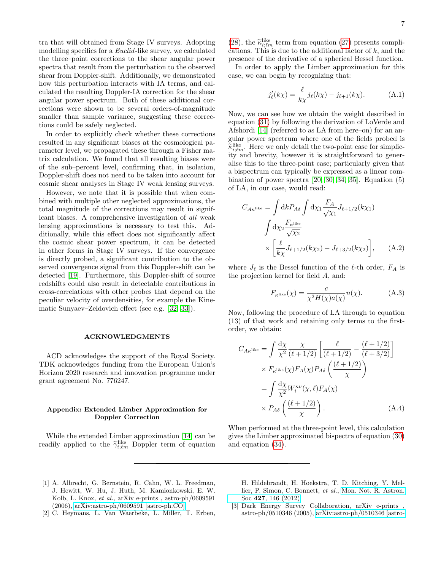tra that will obtained from Stage IV surveys. Adopting modelling specifics for a *Euclid*-like survey, we calculated the three–point corrections to the shear angular power spectra that result from the perturbation to the observed shear from Doppler-shift. Additionally, we demonstrated how this perturbation interacts with IA terms, and calculated the resulting Doppler-IA correction for the shear angular power spectrum. Both of these additional corrections were shown to be several orders-of-magnitude smaller than sample variance, suggesting these corrections could be safely neglected.

In order to explicitly check whether these corrections resulted in any significant biases at the cosmological parameter level, we propagated these through a Fisher matrix calculation. We found that all resulting biases were of the sub–percent level, confirming that, in isolation, Doppler-shift does not need to be taken into account for cosmic shear analyses in Stage IV weak lensing surveys.

However, we note that it is possible that when combined with multiple other neglected approximations, the total magnitude of the corrections may result in significant biases. A comprehensive investigation of all weak lensing approximations is necessary to test this. Additionally, while this effect does not significantly affect the cosmic shear power spectrum, it can be detected in other forms in Stage IV surveys. If the convergence is directly probed, a significant contribution to the observed convergence signal from this Doppler-shift can be detected [\[19\]](#page-7-15). Furthermore, this Doppler-shift of source redshifts could also result in detectable contributions in cross-correlations with other probes that depend on the peculiar velocity of overdensities, for example the Kinematic Sunyaev–Zeldovich effect (see e.g. [\[32,](#page-7-28) [33\]](#page-7-29)).

#### ACKNOWLEDGMENTS

ACD acknowledges the support of the Royal Society. TDK acknowledges funding from the European Union's Horizon 2020 research and innovation programme under grant agreement No. 776247.

## Appendix: Extended Limber Approximation for Doppler Correction

While the extended Limber approximation [\[14\]](#page-7-10) can be readily applied to the  $\tilde{\gamma}_{i;\ell m}^{\text{like}}$  Doppler term of equation

[\(28\)](#page-2-3), the  $\tilde{\kappa}_{i,\ell,m}^{\text{like}}$  term from equation [\(27\)](#page-2-2) presents compli-<br>cations. This is due to the additional factor of k, and the cations. This is due to the additional factor of  $k$ , and the presence of the derivative of a spherical Bessel function.

In order to apply the Limber approximation for this case, we can begin by recognizing that:

$$
j'_{\ell}(k\chi) = \frac{\ell}{k\chi} j_{\ell}(k\chi) - j_{\ell+1}(k\chi). \tag{A.1}
$$

Now, we can see how we obtain the weight described in equation [\(31\)](#page-3-6) by following the derivation of LoVerde and Afshordi [\[14\]](#page-7-10) (referred to as LA from here–on) for an angular power spectrum where one of the fields probed is  $\tilde{\kappa}_{i;\ell,m}^{\text{like}}$ . Here we only detail the two-point case for simplic-<br>ity and brewity, however it is straightforward to generity and brevity, however it is straightforward to generalise this to the three-point case; particularly given that a bispectrum can typically be expressed as a linear combination of power spectra  $[20, 30, 34, 35]$  $[20, 30, 34, 35]$  $[20, 30, 34, 35]$  $[20, 30, 34, 35]$ . Equation  $(5)$ of LA, in our case, would read:

$$
C_{A\kappa^{\text{like}}} = \int \mathrm{d}k P_{A\delta} \int \mathrm{d}\chi_1 \frac{F_A}{\sqrt{\chi_1}} J_{\ell+1/2}(k\chi_1)
$$

$$
\int \mathrm{d}\chi_2 \frac{F_{\kappa^{\text{like}}}}{\sqrt{\chi_2}} \times \left[ \frac{\ell}{k\chi} J_{\ell+1/2}(k\chi_2) - J_{\ell+3/2}(k\chi_2) \right], \qquad (A.2)
$$

where  $J_{\ell}$  is the Bessel function of the  $\ell$ -th order,  $F_A$  is the projection kernel for field A, and:

$$
F_{\kappa^{like}}(\chi) = \frac{c}{\chi^2 H(\chi) a(\chi)} n(\chi). \tag{A.3}
$$

Now, following the procedure of LA through to equation (13) of that work and retaining only terms to the firstorder, we obtain:

$$
C_{A\kappa^{\text{like}}} = \int \frac{d\chi}{\chi^2} \frac{\chi}{(\ell+1/2)} \left[ \frac{\ell}{(\ell+1/2)} - \frac{(\ell+1/2)}{(\ell+3/2)} \right] \times F_{\kappa^{\text{like}}}(\chi) F_A(\chi) P_{A\delta} \left( \frac{(\ell+1/2)}{\chi} \right)
$$

$$
= \int \frac{d\chi}{\chi^2} W_i^{\kappa\nu}(\chi, \ell) F_A(\chi)
$$

$$
\times P_{A\delta} \left( \frac{(\ell+1/2)}{\chi} \right). \tag{A.4}
$$

When performed at the three-point level, this calculation gives the Limber approximated bispectra of equation [\(30\)](#page-3-4) and equation [\(34\)](#page-3-1).

- <span id="page-6-0"></span>[1] A. Albrecht, G. Bernstein, R. Cahn, W. L. Freedman, J. Hewitt, W. Hu, J. Huth, M. Kamionkowski, E. W. Kolb, L. Knox, et al., arXiv e-prints , astro-ph/0609591 (2006), [arXiv:astro-ph/0609591 \[astro-ph.CO\].](http://arxiv.org/abs/astro-ph/0609591)
- <span id="page-6-1"></span>[2] C. Heymans, L. Van Waerbeke, L. Miller, T. Erben,

H. Hildebrandt, H. Hoekstra, T. D. Kitching, Y. Mellier, P. Simon, C. Bonnett, et al., [Mon. Not. R. Astron.](http://dx.doi.org/ 10.1111/j.1365-2966.2012.21952.x) Soc 427[, 146 \(2012\).](http://dx.doi.org/ 10.1111/j.1365-2966.2012.21952.x)

[3] Dark Energy Survey Collaboration, arXiv e-prints , astro-ph/0510346 (2005), [arXiv:astro-ph/0510346 \[astro-](http://arxiv.org/abs/astro-ph/0510346)